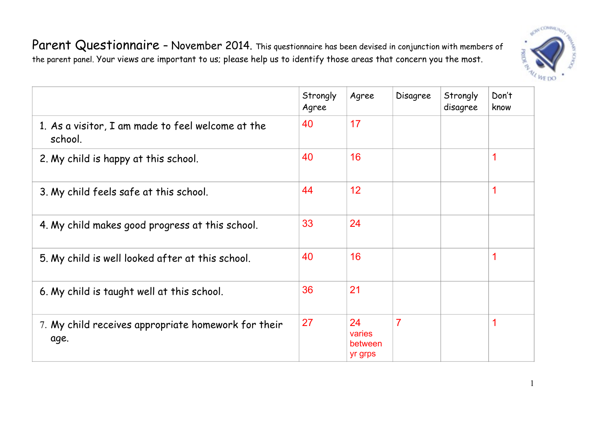

Parent Questionnaire - November 2014. This questionnaire has been devised in conjunction with members of the parent panel. Your views are important to us; please help us to identify those areas that concern you the most.

|                                                              | Strongly<br>Agree | Agree                              | Disagree | Strongly<br>disagree | Don't<br>know |
|--------------------------------------------------------------|-------------------|------------------------------------|----------|----------------------|---------------|
| 1. As a visitor, I am made to feel welcome at the<br>school. | 40                | 17                                 |          |                      |               |
| 2. My child is happy at this school.                         | 40                | 16                                 |          |                      |               |
| 3. My child feels safe at this school.                       | 44                | 12                                 |          |                      |               |
| 4. My child makes good progress at this school.              | 33                | 24                                 |          |                      |               |
| 5. My child is well looked after at this school.             | 40                | 16                                 |          |                      | 4             |
| 6. My child is taught well at this school.                   | 36                | 21                                 |          |                      |               |
| 7. My child receives appropriate homework for their<br>age.  | 27                | 24<br>varies<br>between<br>yr grps | 7        |                      | ◢             |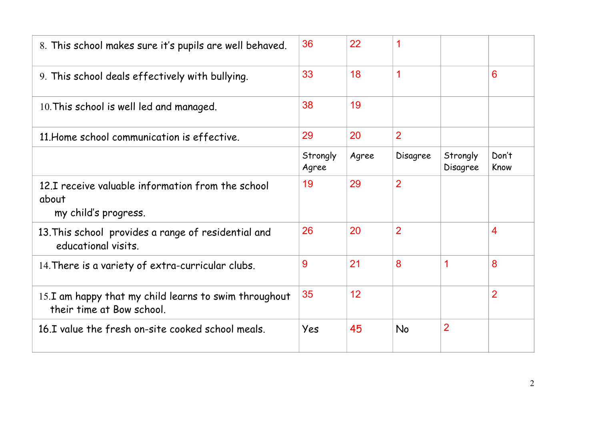| 8. This school makes sure it's pupils are well behaved.                            | 36                | 22    | 1              |                      |                |
|------------------------------------------------------------------------------------|-------------------|-------|----------------|----------------------|----------------|
| 9. This school deals effectively with bullying.                                    | 33                | 18    | $\mathbf 1$    |                      | 6              |
| 10. This school is well led and managed.                                           | 38                | 19    |                |                      |                |
| 11. Home school communication is effective.                                        | 29                | 20    | $\overline{2}$ |                      |                |
|                                                                                    | Strongly<br>Agree | Agree | Disagree       | Strongly<br>Disagree | Don't<br>Know  |
| 12.I receive valuable information from the school<br>about<br>my child's progress. | 19                | 29    | $\overline{2}$ |                      |                |
| 13. This school provides a range of residential and<br>educational visits.         | 26                | 20    | $\overline{2}$ |                      | 4              |
| 14. There is a variety of extra-curricular clubs.                                  | 9                 | 21    | 8              | 1                    | 8              |
| 15.I am happy that my child learns to swim throughout<br>their time at Bow school. | 35                | 12    |                |                      | $\overline{2}$ |
| 16.I value the fresh on-site cooked school meals.                                  | Yes               | 45    | No             | $\overline{2}$       |                |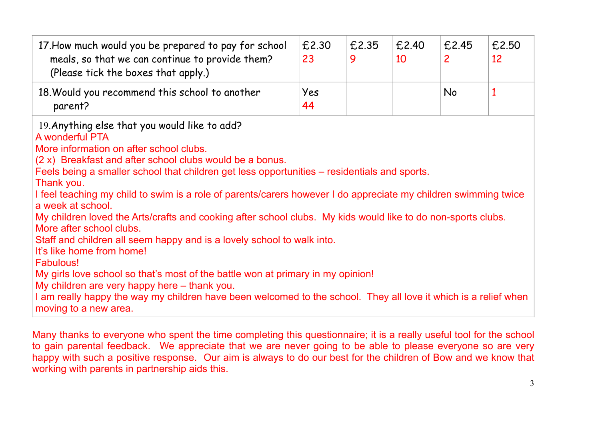| 17. How much would you be prepared to pay for school<br>meals, so that we can continue to provide them?<br>(Please tick the boxes that apply.) | £2.30<br>23 | £2.35<br>Q | £2.40<br>10 | £2.45     | £2.50<br>12 |
|------------------------------------------------------------------------------------------------------------------------------------------------|-------------|------------|-------------|-----------|-------------|
| 18. Would you recommend this school to another<br>parent?                                                                                      | Yes<br>44   |            |             | <b>No</b> |             |

19.Anything else that you would like to add?

## A wonderful PTA

More information on after school clubs.

(2 x) Breakfast and after school clubs would be a bonus.

Feels being a smaller school that children get less opportunities – residentials and sports.

Thank you.

I feel teaching my child to swim is a role of parents/carers however I do appreciate my children swimming twice a week at school.

My children loved the Arts/crafts and cooking after school clubs. My kids would like to do non-sports clubs. More after school clubs.

Staff and children all seem happy and is a lovely school to walk into.

It's like home from home!

**Fabulous!** 

My girls love school so that's most of the battle won at primary in my opinion!

My children are very happy here – thank you.

I am really happy the way my children have been welcomed to the school. They all love it which is a relief when moving to a new area.

Many thanks to everyone who spent the time completing this questionnaire; it is a really useful tool for the school to gain parental feedback. We appreciate that we are never going to be able to please everyone so are very happy with such a positive response. Our aim is always to do our best for the children of Bow and we know that working with parents in partnership aids this.